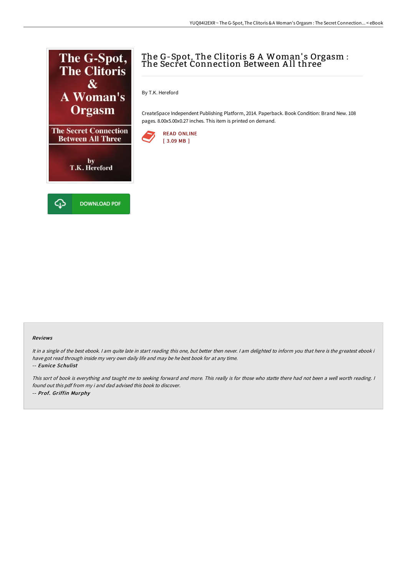

## The G-Spot, The Clitoris & A Woman's Orgasm : The Secret Connection Between All three  $\check{}\;$

By T.K. Hereford

CreateSpace Independent Publishing Platform, 2014. Paperback. Book Condition: Brand New. 108 pages. 8.00x5.00x0.27 inches. This item is printed on demand.



## Reviews

It in a single of the best ebook. I am quite late in start reading this one, but better then never. I am delighted to inform you that here is the greatest ebook i have got read through inside my very own daily life and may be he best book for at any time.

-- Eunice Schulist

This sort of book is everything and taught me to seeking forward and more. This really is for those who statte there had not been <sup>a</sup> well worth reading. <sup>I</sup> found out this pdf from my i and dad advised this book to discover. -- Prof. Griffin Murphy